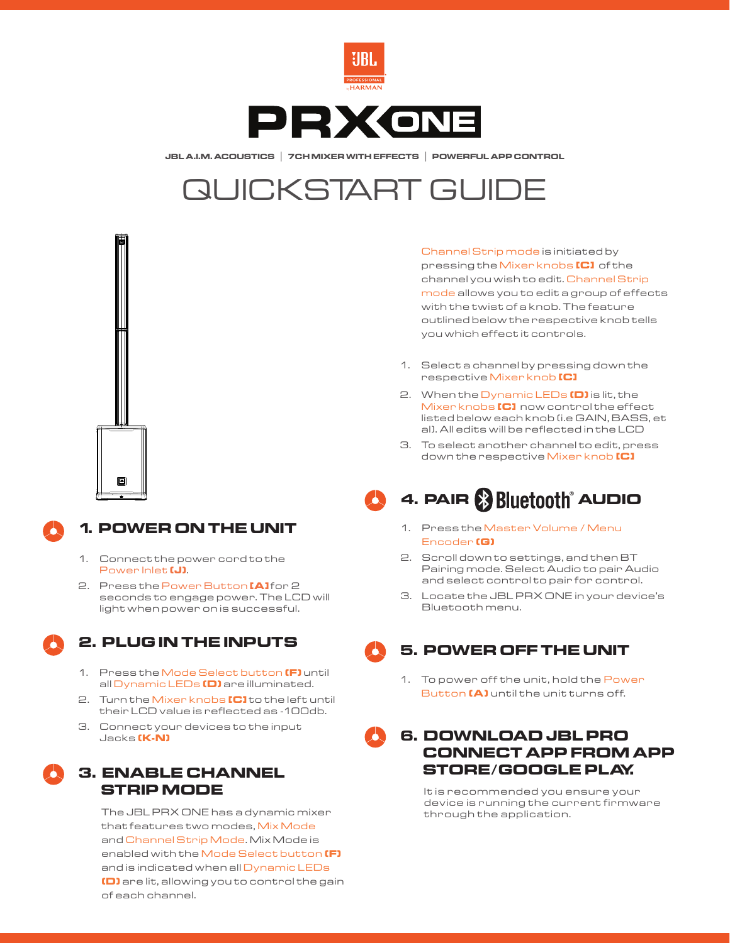

**JBL A.I.M. ACOUSTICS | 7CH MIXER WITH EFFECTS | POWERFUL APP CONTROL**

# QUICKSTART GUIDE





### **1. POWER ON THE UNIT**

- 1. Connect the power cord to the Power Inlet **(J)**.
- 2. Press the Power Button **[A]** for 2 seconds to engage power. The LCD will light when power on is successful.

#### **2. PLUG IN THE INPUTS**

- 1. Press the Mode Select button **(F)** until all Dynamic LEDs **(D)** are illuminated.
- 2. Turn the Mixer knobs **[C]** to the left until their LCD value is reflected as -100db.
- 3. Connect your devices to the input Jacks **(K-N)**

#### **3. ENABLE CHANNEL STRIP MODE**

The JBL PRX ONE has a dynamic mixer that features two modes, Mix Mode and Channel Strip Mode. Mix Mode is enabled with the Mode Select button **(F)** and is indicated when all Dynamic LEDs **(D)** are lit, allowing you to control the gain of each channel.

Channel Strip mode is initiated by pressing the Mixer knobs **[C]** of the channel you wish to edit. Channel Strip mode allows you to edit a group of effects with the twist of a knob. The feature outlined below the respective knob tells you which effect it controls.

- 1. Select a channel by pressing down the respective Mixer knob **[C]**
- 2. When the Dynamic LEDs **(D)** is lit, the Mixer knobs **[C]** now control the effect listed below each knob (i.e GAIN, BASS, et al). All edits will be reflected in the LCD
- 3. To select another channel to edit, press down the respective Mixer knob **[C]**



## **4. PAIR** ® **AUDIO**

- 1. Press the Master Volume / Menu Encoder **(G)**
- 2. Scroll down to settings, and then BT Pairing mode. Select Audio to pair Audio and select control to pair for control.
- 3. Locate the JBL PRX ONE in your device's Bluetooth menu.

#### **5. POWER OFF THE UNIT**

1. To power off the unit, hold the Power Button **(A)** until the unit turns off.

#### **6. DOWNLOAD JBL PRO CONNECT APP FROM APP STORE/GOOGLE PLAY.**

It is recommended you ensure your device is running the current firmware through the application.